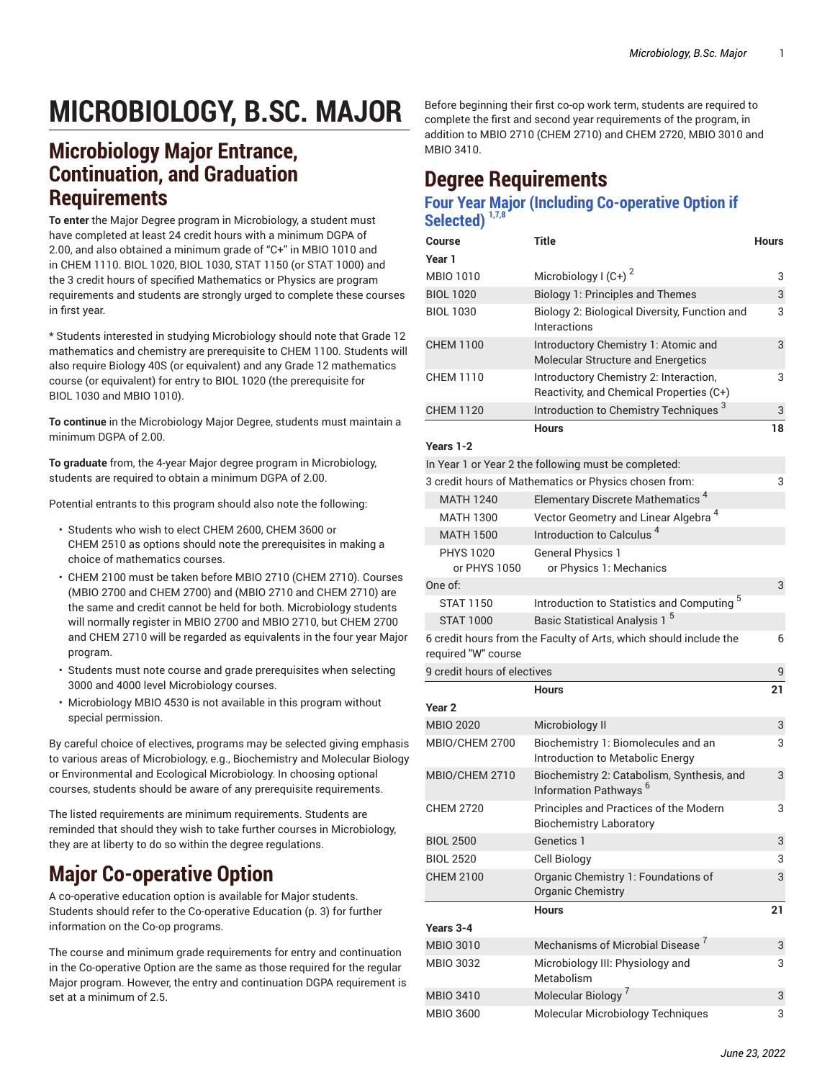# **MICROBIOLOGY, B.SC. MAJOR**

### **Microbiology Major Entrance, Continuation, and Graduation Requirements**

**To enter** the Major Degree program in Microbiology, a student must have completed at least 24 credit hours with a minimum DGPA of 2.00, and also obtained a minimum grade of "C+" in MBIO 1010 and in CHEM 1110. BIOL 1020, BIOL 1030, STAT 1150 (or STAT 1000) and the 3 credit hours of specified Mathematics or Physics are program requirements and students are strongly urged to complete these courses in first year.

\* Students interested in studying Microbiology should note that Grade 12 mathematics and chemistry are prerequisite to CHEM 1100. Students will also require Biology 40S (or equivalent) and any Grade 12 mathematics course (or equivalent) for entry to BIOL 1020 (the prerequisite for BIOL 1030 and MBIO 1010).

**To continue** in the Microbiology Major Degree, students must maintain a minimum DGPA of 2.00.

**To graduate** from, the 4-year Major degree program in Microbiology, students are required to obtain a minimum DGPA of 2.00.

Potential entrants to this program should also note the following:

- Students who wish to elect CHEM 2600, CHEM 3600 or CHEM 2510 as options should note the prerequisites in making a choice of mathematics courses.
- CHEM 2100 must be taken before MBIO 2710 (CHEM 2710). Courses (MBIO 2700 and CHEM 2700) and (MBIO 2710 and CHEM 2710) are the same and credit cannot be held for both. Microbiology students will normally register in MBIO 2700 and MBIO 2710, but CHEM 2700 and CHEM 2710 will be regarded as equivalents in the four year Major program.
- Students must note course and grade prerequisites when selecting 3000 and 4000 level Microbiology courses.
- Microbiology MBIO 4530 is not available in this program without special permission.

By careful choice of electives, programs may be selected giving emphasis to various areas of Microbiology, e.g., Biochemistry and Molecular Biology or Environmental and Ecological Microbiology. In choosing optional courses, students should be aware of any prerequisite requirements.

The listed requirements are minimum requirements. Students are reminded that should they wish to take further courses in Microbiology, they are at liberty to do so within the degree regulations.

# **Major Co-operative Option**

A co-operative education option is available for Major students. Students should refer to the [Co-operative](#page-2-0) Education [\(p. 3](#page-2-0)) for further information on the Co-op programs.

The course and minimum grade requirements for entry and continuation in the Co-operative Option are the same as those required for the regular Major program. However, the entry and continuation DGPA requirement is set at a minimum of 2.5.

Before beginning their first co-op work term, students are required to complete the first and second year requirements of the program, in addition to MBIO 2710 (CHEM 2710) and CHEM 2720, MBIO 3010 and MBIO 3410

## **Degree Requirements**

### **Four Year Major (Including Co-operative Option if Selected) 1,7,8**

| . ,<br>Course<br>Year 1          | <b>Title</b>                                                                       | <b>Hours</b> |
|----------------------------------|------------------------------------------------------------------------------------|--------------|
| <b>MBIO 1010</b>                 | Microbiology I (C+) $^2$                                                           | 3            |
| <b>BIOL 1020</b>                 | <b>Biology 1: Principles and Themes</b>                                            | 3            |
| <b>BIOL 1030</b>                 | Biology 2: Biological Diversity, Function and<br>Interactions                      | 3            |
| <b>CHEM 1100</b>                 | Introductory Chemistry 1: Atomic and<br>Molecular Structure and Energetics         | 3            |
| <b>CHEM 1110</b>                 | Introductory Chemistry 2: Interaction,<br>Reactivity, and Chemical Properties (C+) | 3            |
| <b>CHEM 1120</b>                 | Introduction to Chemistry Techniques <sup>3</sup>                                  | 3            |
|                                  | <b>Hours</b>                                                                       | 18           |
| Years 1-2                        |                                                                                    |              |
|                                  | In Year 1 or Year 2 the following must be completed:                               |              |
|                                  | 3 credit hours of Mathematics or Physics chosen from:                              | 3            |
| <b>MATH 1240</b>                 | Elementary Discrete Mathematics <sup>4</sup>                                       |              |
| <b>MATH 1300</b>                 | Vector Geometry and Linear Algebra <sup>4</sup>                                    |              |
| <b>MATH 1500</b>                 | Introduction to Calculus <sup>4</sup>                                              |              |
| <b>PHYS 1020</b><br>or PHYS 1050 | <b>General Physics 1</b><br>or Physics 1: Mechanics                                |              |
| One of:                          |                                                                                    | 3            |
| STAT 1150                        | Introduction to Statistics and Computing <sup>5</sup>                              |              |
| <b>STAT 1000</b>                 | Basic Statistical Analysis 1 <sup>5</sup>                                          |              |
| required "W" course              | 6 credit hours from the Faculty of Arts, which should include the                  | 6            |
| 9 credit hours of electives      |                                                                                    | 9            |
| Year <sub>2</sub>                | <b>Hours</b>                                                                       | 21           |
| <b>MBIO 2020</b>                 | Microbiology II                                                                    | 3            |
| MBIO/CHEM 2700                   | Biochemistry 1: Biomolecules and an<br>Introduction to Metabolic Energy            | 3            |
| MBIO/CHEM 2710                   | Biochemistry 2: Catabolism, Synthesis, and<br>Information Pathways <sup>6</sup>    | 3            |
| <b>CHEM 2720</b>                 | Principles and Practices of the Modern<br><b>Biochemistry Laboratory</b>           | 3            |
| <b>BIOL 2500</b>                 | Genetics 1                                                                         | 3            |
| <b>BIOL 2520</b>                 | Cell Biology                                                                       | 3            |
| <b>CHEM 2100</b>                 | Organic Chemistry 1: Foundations of<br>Organic Chemistry                           | 3            |
|                                  | <b>Hours</b>                                                                       | 21           |
| Years 3-4                        |                                                                                    |              |
| <b>MBIO 3010</b>                 | Mechanisms of Microbial Disease <sup>7</sup>                                       | 3            |
| MBIO 3032                        | Microbiology III: Physiology and<br>Metabolism                                     | 3            |
| <b>MBIO 3410</b>                 | Molecular Biology <sup>'</sup>                                                     | 3            |
| MBIO 3600                        | Molecular Microbiology Techniques                                                  | 3            |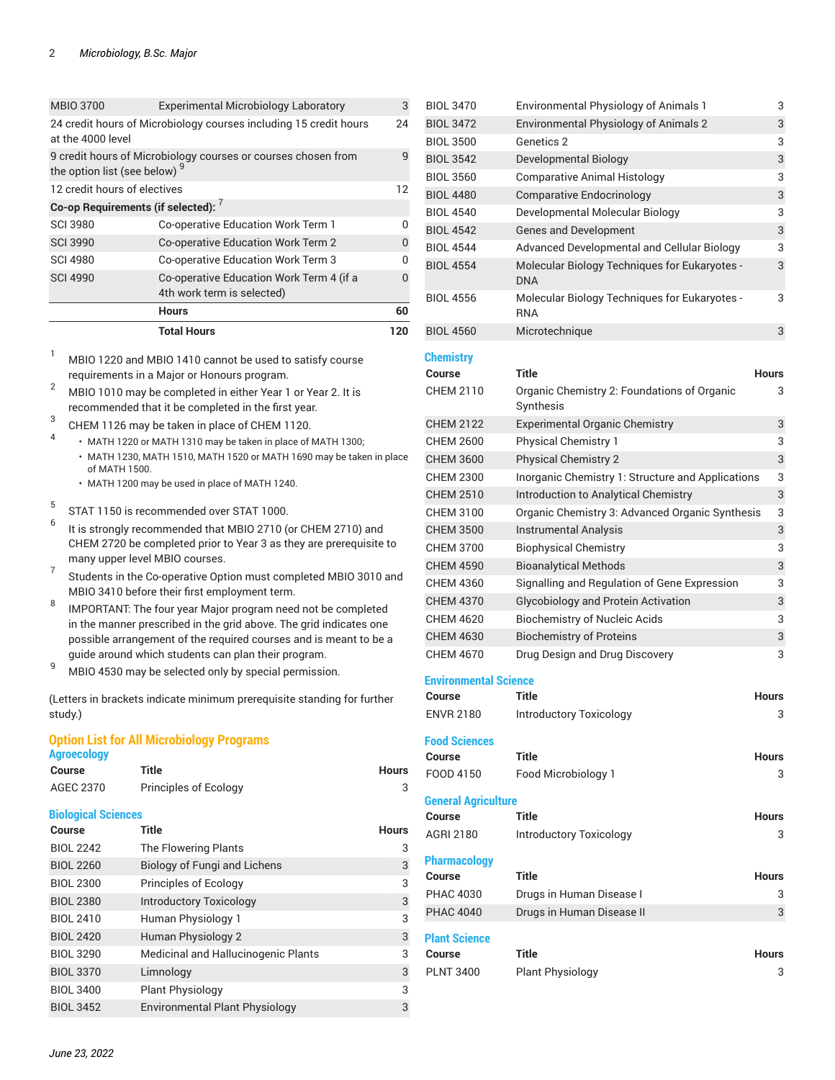| <b>MBIO 3700</b>                         | <b>Experimental Microbiology Laboratory</b>                            | 3   |
|------------------------------------------|------------------------------------------------------------------------|-----|
| at the 4000 level                        | 24 credit hours of Microbiology courses including 15 credit hours      | 24  |
| the option list (see below) <sup>9</sup> | 9 credit hours of Microbiology courses or courses chosen from          | q   |
| 12 credit hours of electives             |                                                                        | 12  |
| Co-op Requirements (if selected):        |                                                                        |     |
| <b>SCI 3980</b>                          | Co-operative Education Work Term 1                                     | n   |
| <b>SCI 3990</b>                          | Co-operative Education Work Term 2                                     | 0   |
| <b>SCI 4980</b>                          | Co-operative Education Work Term 3                                     | n   |
| <b>SCI 4990</b>                          | Co-operative Education Work Term 4 (if a<br>4th work term is selected) | n   |
|                                          | <b>Hours</b>                                                           | 60  |
|                                          | <b>Total Hours</b>                                                     | 120 |

<sup>1</sup> MBIO 1220 and MBIO 1410 cannot be used to satisfy course requirements in a Major or Honours program.

- <sup>2</sup> MBIO 1010 may be completed in either Year 1 or Year 2. It is recommended that it be completed in the first year.
- 3 CHEM 1126 may be taken in place of CHEM 1120. 4
	- MATH 1220 or MATH 1310 may be taken in place of MATH 1300;
		- MATH 1230, MATH 1510, MATH 1520 or MATH 1690 may be taken in place of MATH 1500.
		- MATH 1200 may be used in place of MATH 1240.
- 5 STAT 1150 is recommended over STAT 1000.
- 6 It is strongly recommended that MBIO 2710 (or CHEM 2710) and CHEM 2720 be completed prior to Year 3 as they are prerequisite to many upper level MBIO courses.
- 7 Students in the Co-operative Option must completed MBIO 3010 and MBIO 3410 before their first employment term.
- 8 IMPORTANT: The four year Major program need not be completed in the manner prescribed in the grid above. The grid indicates one possible arrangement of the required courses and is meant to be a guide around which students can plan their program.
- $\frac{9}{9}$  MBIO 4530 may be selected only by special permission.

(Letters in brackets indicate minimum prerequisite standing for further study.)

### **Option List for All Microbiology Programs**

| <b>Agroecology</b> |                       |       |
|--------------------|-----------------------|-------|
| Course             | Title                 | Hours |
| AGEC 2370          | Principles of Ecology | 3     |

```
Biological Sciences
```

| Course           | Title                                 | <b>Hours</b> |
|------------------|---------------------------------------|--------------|
| <b>BIOL 2242</b> | The Flowering Plants                  | 3            |
| <b>BIOL 2260</b> | Biology of Fungi and Lichens          | 3            |
| <b>BIOL 2300</b> | Principles of Ecology                 | 3            |
| <b>BIOL 2380</b> | <b>Introductory Toxicology</b>        | 3            |
| <b>BIOL 2410</b> | Human Physiology 1                    | 3            |
| <b>BIOL 2420</b> | Human Physiology 2                    | 3            |
| <b>BIOL 3290</b> | Medicinal and Hallucinogenic Plants   | 3            |
| <b>BIOL 3370</b> | Limnology                             | 3            |
| <b>BIOL 3400</b> | <b>Plant Physiology</b>               | 3            |
| <b>BIOL 3452</b> | <b>Environmental Plant Physiology</b> | 3            |

| <b>BIOL 3470</b>             | <b>Environmental Physiology of Animals 1</b>                | 3            |
|------------------------------|-------------------------------------------------------------|--------------|
| <b>BIOL 3472</b>             | Environmental Physiology of Animals 2                       | 3            |
| <b>BIOL 3500</b>             | Genetics 2                                                  | 3            |
| <b>BIOL 3542</b>             | Developmental Biology                                       | 3            |
| <b>BIOL 3560</b>             | <b>Comparative Animal Histology</b>                         | 3            |
| <b>BIOL 4480</b>             | <b>Comparative Endocrinology</b>                            | 3            |
| <b>BIOL 4540</b>             | Developmental Molecular Biology                             | 3            |
| <b>BIOL 4542</b>             | <b>Genes and Development</b>                                | 3            |
| <b>BIOL 4544</b>             | Advanced Developmental and Cellular Biology                 | 3            |
| <b>BIOL 4554</b>             | Molecular Biology Techniques for Eukaryotes -<br><b>DNA</b> | 3            |
| <b>BIOL 4556</b>             | Molecular Biology Techniques for Eukaryotes -<br><b>RNA</b> | 3            |
| <b>BIOL 4560</b>             | Microtechnique                                              | 3            |
|                              |                                                             |              |
| <b>Chemistry</b><br>Course   | Title                                                       | <b>Hours</b> |
| CHEM 2110                    | Organic Chemistry 2: Foundations of Organic                 | 3            |
|                              | Synthesis                                                   |              |
| <b>CHEM 2122</b>             | <b>Experimental Organic Chemistry</b>                       | 3            |
| <b>CHEM 2600</b>             | <b>Physical Chemistry 1</b>                                 | 3            |
| <b>CHEM 3600</b>             | <b>Physical Chemistry 2</b>                                 | 3            |
| <b>CHEM 2300</b>             | Inorganic Chemistry 1: Structure and Applications           | 3            |
| <b>CHEM 2510</b>             | Introduction to Analytical Chemistry                        | 3            |
| <b>CHEM 3100</b>             | Organic Chemistry 3: Advanced Organic Synthesis             | 3            |
| <b>CHEM 3500</b>             | Instrumental Analysis                                       | 3            |
| <b>CHEM 3700</b>             | <b>Biophysical Chemistry</b>                                | 3            |
| <b>CHEM 4590</b>             | <b>Bioanalytical Methods</b>                                | 3            |
| <b>CHEM 4360</b>             | Signalling and Regulation of Gene Expression                | 3            |
| <b>CHEM 4370</b>             | Glycobiology and Protein Activation                         | 3            |
| <b>CHEM 4620</b>             | <b>Biochemistry of Nucleic Acids</b>                        | 3            |
| <b>CHEM 4630</b>             | <b>Biochemistry of Proteins</b>                             | 3            |
| <b>CHEM 4670</b>             | Drug Design and Drug Discovery                              | 3            |
|                              |                                                             |              |
| <b>Environmental Science</b> |                                                             |              |
| Course                       | Title                                                       | <b>Hours</b> |
| <b>ENVR 2180</b>             | <b>Introductory Toxicology</b>                              | 3            |
| <b>Food Sciences</b>         |                                                             |              |
| <b>Course</b>                | <b>Title</b>                                                | <b>Hours</b> |
| FOOD 4150                    | Food Microbiology 1                                         | 3            |
| <b>General Agriculture</b>   |                                                             |              |
| <b>Course</b>                | Title                                                       | <b>Hours</b> |
| AGRI 2180                    | <b>Introductory Toxicology</b>                              | 3            |
| <b>Pharmacology</b>          |                                                             |              |
| Course                       | <b>Title</b>                                                | <b>Hours</b> |
| <b>PHAC 4030</b>             | Drugs in Human Disease I                                    | 3            |
| <b>PHAC 4040</b>             | Drugs in Human Disease II                                   | 3            |
|                              |                                                             |              |
| <b>Plant Science</b>         | Title                                                       |              |
| Course                       |                                                             | <b>Hours</b> |
| <b>PLNT 3400</b>             | <b>Plant Physiology</b>                                     | 3            |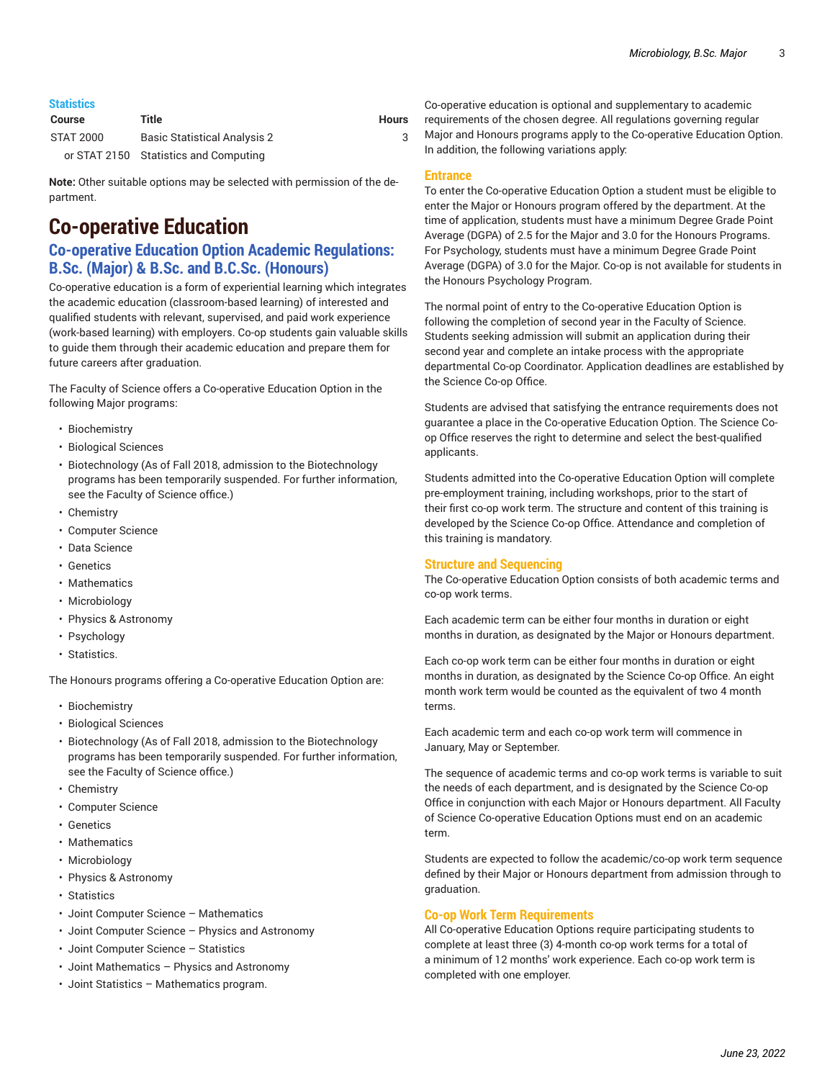### **Statistics**

| <b>Course</b>    | Title                                 | <b>Hours</b> |
|------------------|---------------------------------------|--------------|
| <b>STAT 2000</b> | <b>Basic Statistical Analysis 2</b>   |              |
|                  | or STAT 2150 Statistics and Computing |              |

**Note:** Other suitable options may be selected with permission of the de partment.

### <span id="page-2-0"></span>**Co-operative Education**

### **Co-operative Education Option Academic Regulations: B.Sc. (Major) & B.Sc. and B.C.Sc. (Honours)**

Co-operative education is a form of experiential learning which integrates the academic education (classroom-based learning) of interested and qualified students with relevant, supervised, and paid work experience (work-based learning) with employers. Co-op students gain valuable skills to guide them through their academic education and prepare them for future careers after graduation.

The Faculty of Science offers a Co-operative Education Option in the following Major programs:

- Biochemistry
- Biological Sciences
- Biotechnology (As of Fall 2018, admission to the Biotechnology programs has been temporarily suspended. For further information, see the Faculty of Science office.)
- Chemistry
- Computer Science
- Data Science
- Genetics
- Mathematics
- Microbiology
- Physics & Astronomy
- Psychology
- Statistics.

The Honours programs offering a Co-operative Education Option are:

- Biochemistry
- Biological Sciences
- Biotechnology (As of Fall 2018, admission to the Biotechnology programs has been temporarily suspended. For further information, see the Faculty of Science office.)
- Chemistry
- Computer Science
- Genetics
- Mathematics
- Microbiology
- Physics & Astronomy
- Statistics
- Joint Computer Science Mathematics
- Joint Computer Science Physics and Astronomy
- Joint Computer Science Statistics
- Joint Mathematics Physics and Astronomy
- Joint Statistics Mathematics program.

Co-operative education is optional and supplementary to academic requirements of the chosen degree. All regulations governing regular Major and Honours programs apply to the Co-operative Education Option. In addition, the following variations apply:

#### **Entrance**

To enter the Co-operative Education Option a student must be eligible to enter the Major or Honours program offered by the department. At the time of application, students must have a minimum Degree Grade Point Average (DGPA) of 2.5 for the Major and 3.0 for the Honours Programs. For Psychology, students must have a minimum Degree Grade Point Average (DGPA) of 3.0 for the Major. Co-op is not available for students in the Honours Psychology Program.

The normal point of entry to the Co-operative Education Option is following the completion of second year in the Faculty of Science. Students seeking admission will submit an application during their second year and complete an intake process with the appropriate departmental Co-op Coordinator. Application deadlines are established by the Science Co-op Office.

Students are advised that satisfying the entrance requirements does not guarantee a place in the Co-operative Education Option. The Science Coop Office reserves the right to determine and select the best-qualified applicants.

Students admitted into the Co-operative Education Option will complete pre-employment training, including workshops, prior to the start of their first co-op work term. The structure and content of this training is developed by the Science Co-op Office. Attendance and completion of this training is mandatory.

#### **Structure and Sequencing**

The Co-operative Education Option consists of both academic terms and co-op work terms.

Each academic term can be either four months in duration or eight months in duration, as designated by the Major or Honours department.

Each co-op work term can be either four months in duration or eight months in duration, as designated by the Science Co-op Office. An eight month work term would be counted as the equivalent of two 4 month terms.

Each academic term and each co-op work term will commence in January, May or September.

The sequence of academic terms and co-op work terms is variable to suit the needs of each department, and is designated by the Science Co-op Office in conjunction with each Major or Honours department. All Faculty of Science Co-operative Education Options must end on an academic term.

Students are expected to follow the academic/co-op work term sequence defined by their Major or Honours department from admission through to graduation.

### **Co-op Work Term Requirements**

All Co-operative Education Options require participating students to complete at least three (3) 4-month co-op work terms for a total of a minimum of 12 months' work experience. Each co-op work term is completed with one employer.